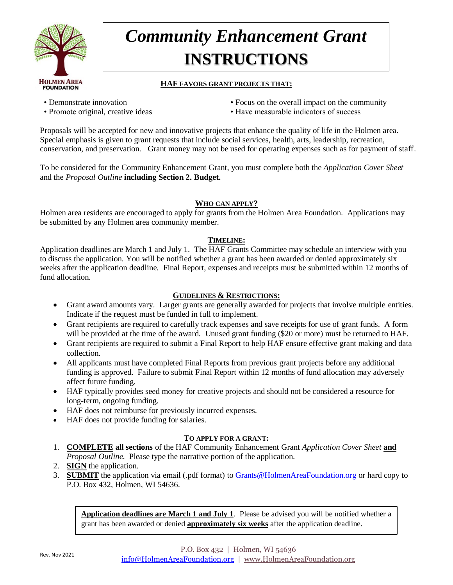

# *Community Enhancement Grant* **INSTRUCTIONS**

#### **HAF FAVORS GRANT PROJECTS THAT:**

- 
- 
- Demonstrate innovation Focus on the overall impact on the community
- Promote original, creative ideas Have measurable indicators of success

Proposals will be accepted for new and innovative projects that enhance the quality of life in the Holmen area. Special emphasis is given to grant requests that include social services, health, arts, leadership, recreation, conservation, and preservation. Grant money may not be used for operating expenses such as for payment of staff.

To be considered for the Community Enhancement Grant, you must complete both the *Application Cover Sheet* and the *Proposal Outline* **including Section 2. Budget.** 

#### **WHO CAN APPLY?**

Holmen area residents are encouraged to apply for grants from the Holmen Area Foundation. Applications may be submitted by any Holmen area community member.

#### **TIMELINE:**

Application deadlines are March 1 and July 1. The HAF Grants Committee may schedule an interview with you to discuss the application. You will be notified whether a grant has been awarded or denied approximately six weeks after the application deadline. Final Report, expenses and receipts must be submitted within 12 months of fund allocation.

#### **GUIDELINES & RESTRICTIONS:**

- Grant award amounts vary. Larger grants are generally awarded for projects that involve multiple entities. Indicate if the request must be funded in full to implement.
- Grant recipients are required to carefully track expenses and save receipts for use of grant funds. A form will be provided at the time of the award. Unused grant funding (\$20 or more) must be returned to HAF.
- Grant recipients are required to submit a Final Report to help HAF ensure effective grant making and data collection.
- All applicants must have completed Final Reports from previous grant projects before any additional funding is approved. Failure to submit Final Report within 12 months of fund allocation may adversely affect future funding.
- HAF typically provides seed money for creative projects and should not be considered a resource for long-term, ongoing funding.
- HAF does not reimburse for previously incurred expenses.
- HAF does not provide funding for salaries.

#### **TO APPLY FOR A GRANT:**

- 1. **COMPLETE all sections** of the HAF Community Enhancement Grant *Application Cover Sheet* **and** *Proposal Outline*. Please type the narrative portion of the application.
- 2. **SIGN** the application.
- 3. **SUBMIT** the application via email (.pdf format) to [Grants@HolmenAreaFoundation.org](mailto:Grants@HolmenAreaFoundation.org) or hard copy to P.O. Box 432, Holmen, WI 54636.

**Application deadlines are March 1 and July 1**. Please be advised you will be notified whether a grant has been awarded or denied **approximately six weeks** after the application deadline.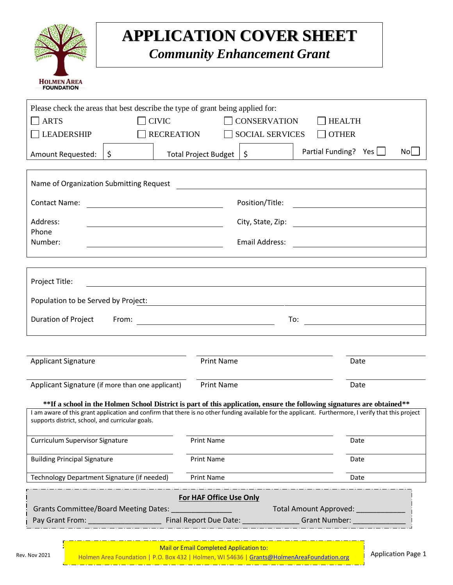

### **APPLICATION COVER SHEET**

*Community Enhancement Grant*

| Please check the areas that best describe the type of grant being applied for:                                                                                                                                                      |                   |                          |                                        |                                                                                                                                                                                                                               |                                         |  |  |
|-------------------------------------------------------------------------------------------------------------------------------------------------------------------------------------------------------------------------------------|-------------------|--------------------------|----------------------------------------|-------------------------------------------------------------------------------------------------------------------------------------------------------------------------------------------------------------------------------|-----------------------------------------|--|--|
| <b>ARTS</b><br>$\blacksquare$                                                                                                                                                                                                       | <b>CIVIC</b>      |                          | <b>CONSERVATION</b>                    | <b>HEALTH</b>                                                                                                                                                                                                                 |                                         |  |  |
| LEADERSHIP                                                                                                                                                                                                                          | <b>RECREATION</b> |                          | $\Box$ OTHER<br><b>SOCIAL SERVICES</b> |                                                                                                                                                                                                                               |                                         |  |  |
|                                                                                                                                                                                                                                     |                   |                          |                                        | Partial Funding? Yes                                                                                                                                                                                                          | Nol                                     |  |  |
| Amount Requested:                                                                                                                                                                                                                   | \$                | Total Project Budget     | \$                                     |                                                                                                                                                                                                                               |                                         |  |  |
|                                                                                                                                                                                                                                     |                   |                          |                                        |                                                                                                                                                                                                                               |                                         |  |  |
| Name of Organization Submitting Request                                                                                                                                                                                             |                   |                          |                                        |                                                                                                                                                                                                                               |                                         |  |  |
|                                                                                                                                                                                                                                     |                   |                          |                                        |                                                                                                                                                                                                                               |                                         |  |  |
| <b>Contact Name:</b>                                                                                                                                                                                                                |                   |                          | Position/Title:                        | the control of the control of the control of the control of the control of the control of the control of the control of the control of the control of the control of the control of the control of the control of the control |                                         |  |  |
| Address:                                                                                                                                                                                                                            |                   |                          | City, State, Zip:                      | <u> 1980 - Jan Samuel Barbara, politik eta politik eta politik eta politik eta politik eta politik eta politik e</u>                                                                                                          |                                         |  |  |
| Phone                                                                                                                                                                                                                               |                   |                          |                                        |                                                                                                                                                                                                                               |                                         |  |  |
| Number:                                                                                                                                                                                                                             |                   |                          | Email Address:                         |                                                                                                                                                                                                                               |                                         |  |  |
|                                                                                                                                                                                                                                     |                   |                          |                                        |                                                                                                                                                                                                                               |                                         |  |  |
|                                                                                                                                                                                                                                     |                   |                          |                                        |                                                                                                                                                                                                                               |                                         |  |  |
| Project Title:                                                                                                                                                                                                                      |                   |                          |                                        |                                                                                                                                                                                                                               |                                         |  |  |
|                                                                                                                                                                                                                                     |                   |                          |                                        |                                                                                                                                                                                                                               |                                         |  |  |
| Population to be Served by Project:                                                                                                                                                                                                 |                   |                          |                                        |                                                                                                                                                                                                                               |                                         |  |  |
| Duration of Project                                                                                                                                                                                                                 | From:             |                          |                                        | To:                                                                                                                                                                                                                           | <u> 1990 - Johann Barbara, martin a</u> |  |  |
|                                                                                                                                                                                                                                     |                   |                          |                                        |                                                                                                                                                                                                                               |                                         |  |  |
|                                                                                                                                                                                                                                     |                   |                          |                                        |                                                                                                                                                                                                                               |                                         |  |  |
|                                                                                                                                                                                                                                     |                   |                          |                                        |                                                                                                                                                                                                                               |                                         |  |  |
| <b>Applicant Signature</b>                                                                                                                                                                                                          |                   |                          | <b>Print Name</b>                      |                                                                                                                                                                                                                               | Date                                    |  |  |
|                                                                                                                                                                                                                                     |                   |                          |                                        |                                                                                                                                                                                                                               |                                         |  |  |
| Applicant Signature (if more than one applicant)                                                                                                                                                                                    |                   | <b>Print Name</b>        |                                        |                                                                                                                                                                                                                               | Date                                    |  |  |
| **If a school in the Holmen School District is part of this application, ensure the following signatures are obtained**                                                                                                             |                   |                          |                                        |                                                                                                                                                                                                                               |                                         |  |  |
| I am aware of this grant application and confirm that there is no other funding available for the applicant. Furthermore, I verify that this project                                                                                |                   |                          |                                        |                                                                                                                                                                                                                               |                                         |  |  |
| supports district, school, and curricular goals.                                                                                                                                                                                    |                   |                          |                                        |                                                                                                                                                                                                                               |                                         |  |  |
| <b>Curriculum Supervisor Signature</b>                                                                                                                                                                                              |                   | Print Name               |                                        |                                                                                                                                                                                                                               | Date                                    |  |  |
|                                                                                                                                                                                                                                     |                   |                          |                                        |                                                                                                                                                                                                                               |                                         |  |  |
| <b>Building Principal Signature</b>                                                                                                                                                                                                 |                   | <b>Print Name</b>        |                                        |                                                                                                                                                                                                                               | Date                                    |  |  |
| Technology Department Signature (if needed)                                                                                                                                                                                         |                   | Print Name               |                                        |                                                                                                                                                                                                                               | Date                                    |  |  |
|                                                                                                                                                                                                                                     |                   |                          |                                        |                                                                                                                                                                                                                               |                                         |  |  |
| For HAF Office Use Only                                                                                                                                                                                                             |                   |                          |                                        |                                                                                                                                                                                                                               |                                         |  |  |
| Grants Committee/Board Meeting Dates:                                                                                                                                                                                               |                   |                          | Total Amount Approved: _               |                                                                                                                                                                                                                               |                                         |  |  |
| <b>Pay Grant From:</b> The Contract of the Contract of the Contract of the Contract of the Contract of the Contract of the Contract of the Contract of the Contract of the Contract of the Contract of the Contract of the Contract |                   | Final Report Due Date: _ |                                        | <b>Controllering Grant Number:</b>                                                                                                                                                                                            |                                         |  |  |
|                                                                                                                                                                                                                                     |                   |                          |                                        |                                                                                                                                                                                                                               |                                         |  |  |

Mail or Email Completed Application to:

Rev. Nov 2021 Holmen Area Foundation | P.O. Box 432 | Holmen, WI 54636 | [Grants@HolmenAreaFoundation.org](mailto:Grants@HolmenAreaFoundation.org) Application Page 1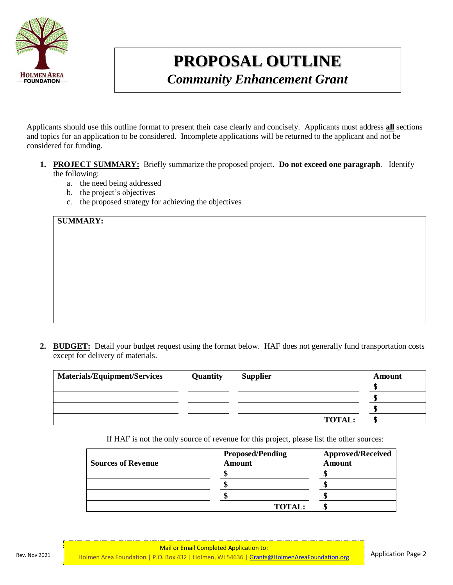

## **PROPOSAL OUTLINE**

*Community Enhancement Grant*

Applicants should use this outline format to present their case clearly and concisely. Applicants must address **all** sections and topics for an application to be considered. Incomplete applications will be returned to the applicant and not be considered for funding.

- **1. PROJECT SUMMARY:** Briefly summarize the proposed project. **Do not exceed one paragraph**. Identify the following:
	- a. the need being addressed
	- b. the project's objectives
	- c. the proposed strategy for achieving the objectives

**SUMMARY:**

**2. BUDGET:** Detail your budget request using the format below. HAF does not generally fund transportation costs except for delivery of materials.

| <b>Materials/Equipment/Services</b> | <b>Quantity</b> | <b>Supplier</b> | Amount |
|-------------------------------------|-----------------|-----------------|--------|
|                                     |                 |                 |        |
|                                     |                 |                 |        |
|                                     |                 |                 |        |
|                                     |                 | <b>TOTAL:</b>   |        |

If HAF is not the only source of revenue for this project, please list the other sources:

| <b>Sources of Revenue</b> | <b>Proposed/Pending</b><br><b>Amount</b> | <b>Approved/Received</b><br><b>Amount</b> |  |
|---------------------------|------------------------------------------|-------------------------------------------|--|
|                           |                                          |                                           |  |
|                           |                                          |                                           |  |
|                           |                                          |                                           |  |
|                           | <b>TOTAL:</b>                            |                                           |  |